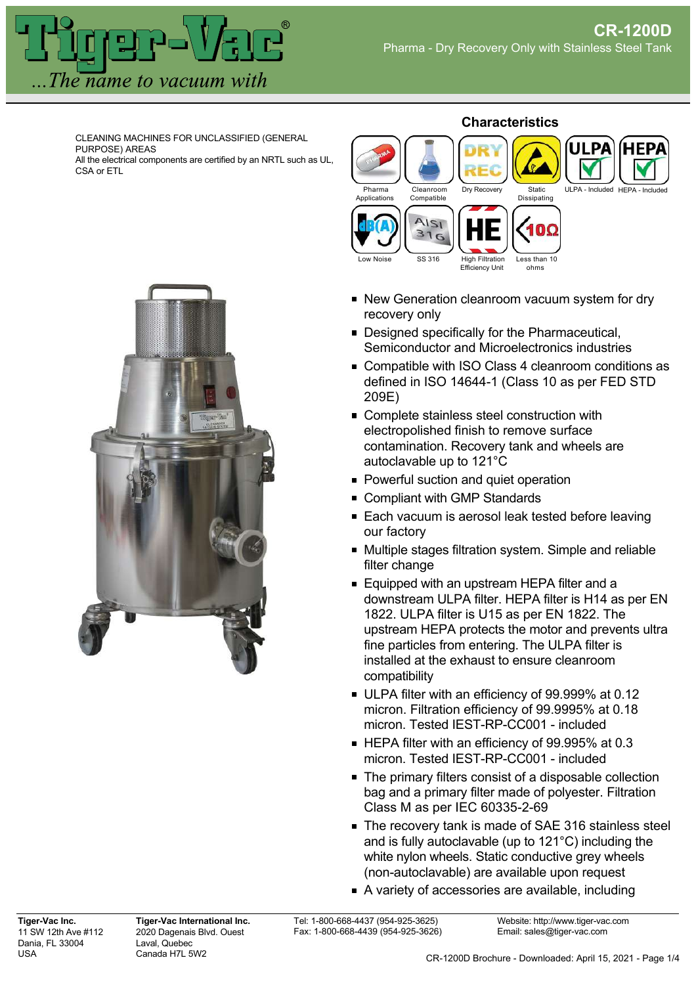

CLEANING MACHINES FOR UNCLASSIFIED (GENERAL PURPOSE) AREAS

All the electrical components are certified by an NRTL such as UL, CSA or ETL



## **Characteristics**



- New Generation cleanroom vacuum system for dry recovery only
- **Designed specifically for the Pharmaceutical,** Semiconductor and Microelectronics industries
- Compatible with ISO Class 4 cleanroom conditions as defined in ISO 14644-1 (Class 10 as per FED STD 209E)
- Complete stainless steel construction with electropolished finish to remove surface contamination. Recovery tank and wheels are autoclavable up to 121°C
- **Powerful suction and quiet operation**
- Compliant with GMP Standards
- Each vacuum is aerosol leak tested before leaving our factory
- Multiple stages filtration system. Simple and reliable filter change
- **Equipped with an upstream HEPA filter and a** downstream ULPA filter. HEPA filter is H14 as per EN 1822. ULPA filter is U15 as per EN 1822. The upstream HEPA protects the motor and prevents ultra fine particles from entering. The ULPA filter is installed at the exhaust to ensure cleanroom compatibility
- ULPA filter with an efficiency of 99.999% at 0.12 micron. Filtration efficiency of 99.9995% at 0.18 micron. Tested IEST-RP-CC001 - included
- HEPA filter with an efficiency of 99.995% at 0.3 micron. Tested IEST-RP-CC001 - included
- The primary filters consist of a disposable collection bag and a primary filter made of polyester. Filtration Class M as per IEC 60335-2-69
- The recovery tank is made of SAE 316 stainless steel and is fully autoclavable (up to 121°C) including the white nylon wheels. Static conductive grey wheels (non-autoclavable) are available upon request
- A variety of accessories are available, including

**Tiger-Vac International Inc.** 2020 Dagenais Blvd. Ouest Laval, Quebec Canada H7L 5W2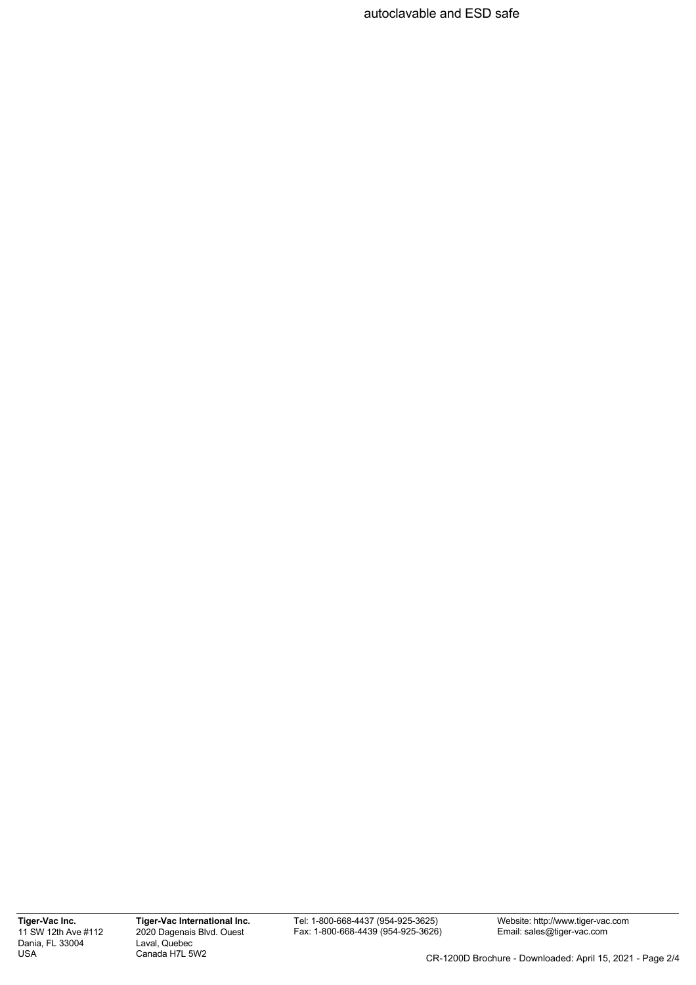autoclavable and ESD safe

**Tiger-Vac Inc.** 11 SW 12th Ave #112 Dania, FL 33004 USA

**Tiger-Vac International Inc.** 2020 Dagenais Blvd. Ouest Laval, Quebec Canada H7L 5W2

Tel: 1-800-668-4437 (954-925-3625) Fax: 1-800-668-4439 (954-925-3626) Website: http://www.tiger-vac.com Email: sales@tiger-vac.com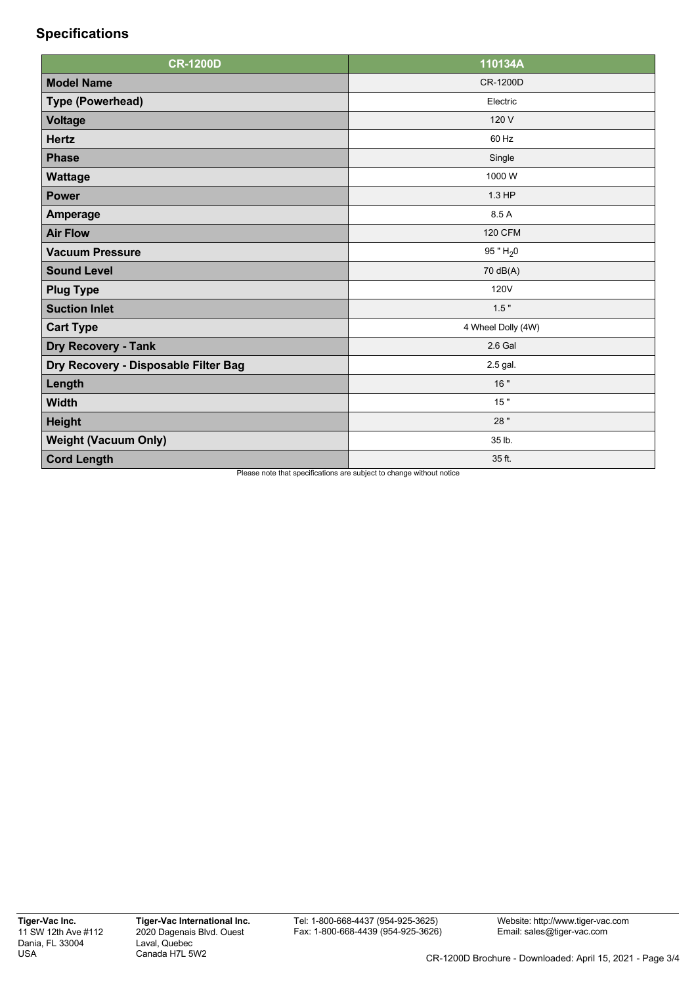## **Specifications**

| <b>CR-1200D</b>                      | 110134A            |
|--------------------------------------|--------------------|
| <b>Model Name</b>                    | CR-1200D           |
| <b>Type (Powerhead)</b>              | Electric           |
| <b>Voltage</b>                       | 120 V              |
| <b>Hertz</b>                         | 60 Hz              |
| <b>Phase</b>                         | Single             |
| <b>Wattage</b>                       | 1000 W             |
| <b>Power</b>                         | 1.3 HP             |
| Amperage                             | 8.5 A              |
| <b>Air Flow</b>                      | <b>120 CFM</b>     |
| <b>Vacuum Pressure</b>               | 95 " $H_2$ 0       |
| <b>Sound Level</b>                   | 70 dB(A)           |
| <b>Plug Type</b>                     | <b>120V</b>        |
| <b>Suction Inlet</b>                 | 1.5"               |
| <b>Cart Type</b>                     | 4 Wheel Dolly (4W) |
| <b>Dry Recovery - Tank</b>           | 2.6 Gal            |
| Dry Recovery - Disposable Filter Bag | 2.5 gal.           |
| Length                               | 16 "               |
| <b>Width</b>                         | 15"                |
| <b>Height</b>                        | 28 "               |
| <b>Weight (Vacuum Only)</b>          | 35 lb.             |
| <b>Cord Length</b>                   | 35 ft.             |

Please note that specifications are subject to change without notice